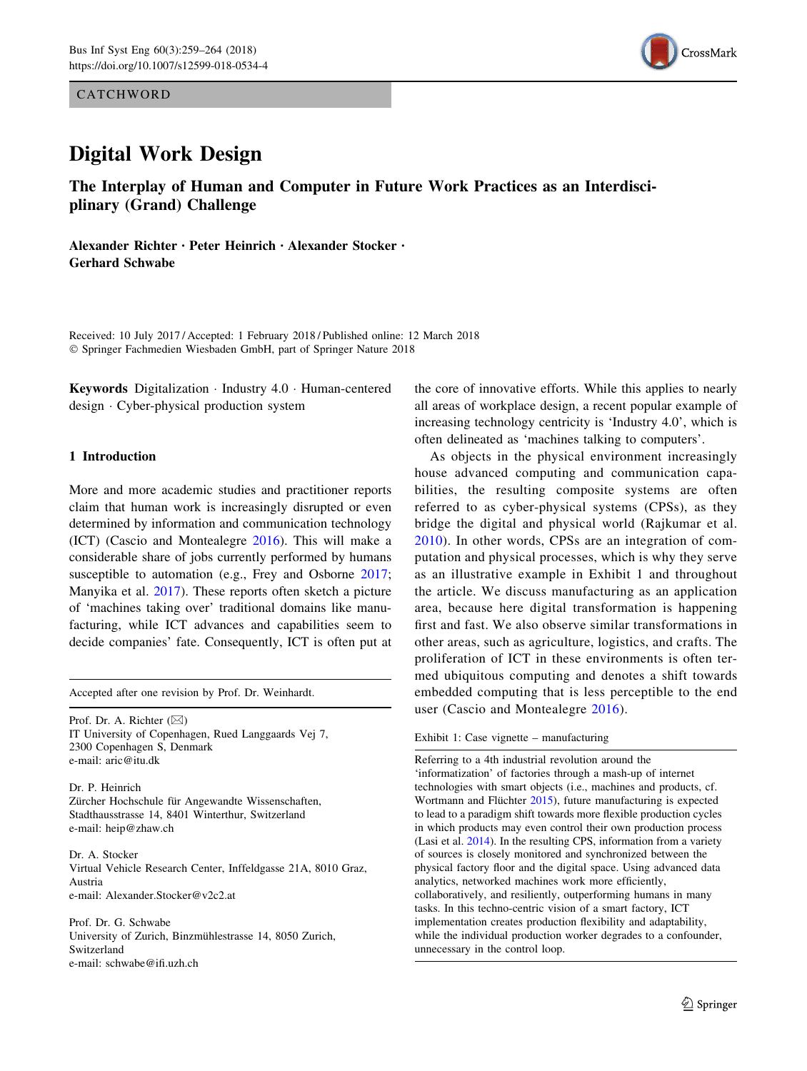### **CATCHWORD**



# Digital Work Design

The Interplay of Human and Computer in Future Work Practices as an Interdisciplinary (Grand) Challenge

Alexander Richter • Peter Heinrich • Alexander Stocker • Gerhard Schwabe

Received: 10 July 2017 / Accepted: 1 February 2018 / Published online: 12 March 2018 - Springer Fachmedien Wiesbaden GmbH, part of Springer Nature 2018

Keywords Digitalization - Industry 4.0 - Human-centered design - Cyber-physical production system

# 1 Introduction

More and more academic studies and practitioner reports claim that human work is increasingly disrupted or even determined by information and communication technology (ICT) (Cascio and Montealegre [2016\)](#page-5-0). This will make a considerable share of jobs currently performed by humans susceptible to automation (e.g., Frey and Osborne [2017](#page-5-0); Manyika et al. [2017](#page-5-0)). These reports often sketch a picture of 'machines taking over' traditional domains like manufacturing, while ICT advances and capabilities seem to decide companies' fate. Consequently, ICT is often put at

Accepted after one revision by Prof. Dr. Weinhardt.

Prof. Dr. A. Richter  $(\boxtimes)$ IT University of Copenhagen, Rued Langgaards Vej 7, 2300 Copenhagen S, Denmark e-mail: aric@itu.dk

Dr. P. Heinrich Zürcher Hochschule für Angewandte Wissenschaften, Stadthausstrasse 14, 8401 Winterthur, Switzerland e-mail: heip@zhaw.ch

Dr. A. Stocker Virtual Vehicle Research Center, Inffeldgasse 21A, 8010 Graz, Austria e-mail: Alexander.Stocker@v2c2.at

Prof. Dr. G. Schwabe University of Zurich, Binzmühlestrasse 14, 8050 Zurich, Switzerland e-mail: schwabe@ifi.uzh.ch

the core of innovative efforts. While this applies to nearly all areas of workplace design, a recent popular example of increasing technology centricity is 'Industry 4.0', which is often delineated as 'machines talking to computers'.

As objects in the physical environment increasingly house advanced computing and communication capabilities, the resulting composite systems are often referred to as cyber-physical systems (CPSs), as they bridge the digital and physical world (Rajkumar et al. [2010\)](#page-5-0). In other words, CPSs are an integration of computation and physical processes, which is why they serve as an illustrative example in Exhibit 1 and throughout the article. We discuss manufacturing as an application area, because here digital transformation is happening first and fast. We also observe similar transformations in other areas, such as agriculture, logistics, and crafts. The proliferation of ICT in these environments is often termed ubiquitous computing and denotes a shift towards embedded computing that is less perceptible to the end user (Cascio and Montealegre [2016](#page-5-0)).

#### Exhibit 1: Case vignette – manufacturing

Referring to a 4th industrial revolution around the 'informatization' of factories through a mash-up of internet technologies with smart objects (i.e., machines and products, cf. Wortmann and Flüchter [2015](#page-5-0)), future manufacturing is expected to lead to a paradigm shift towards more flexible production cycles in which products may even control their own production process (Lasi et al. [2014\)](#page-5-0). In the resulting CPS, information from a variety of sources is closely monitored and synchronized between the physical factory floor and the digital space. Using advanced data analytics, networked machines work more efficiently, collaboratively, and resiliently, outperforming humans in many tasks. In this techno-centric vision of a smart factory, ICT implementation creates production flexibility and adaptability, while the individual production worker degrades to a confounder, unnecessary in the control loop.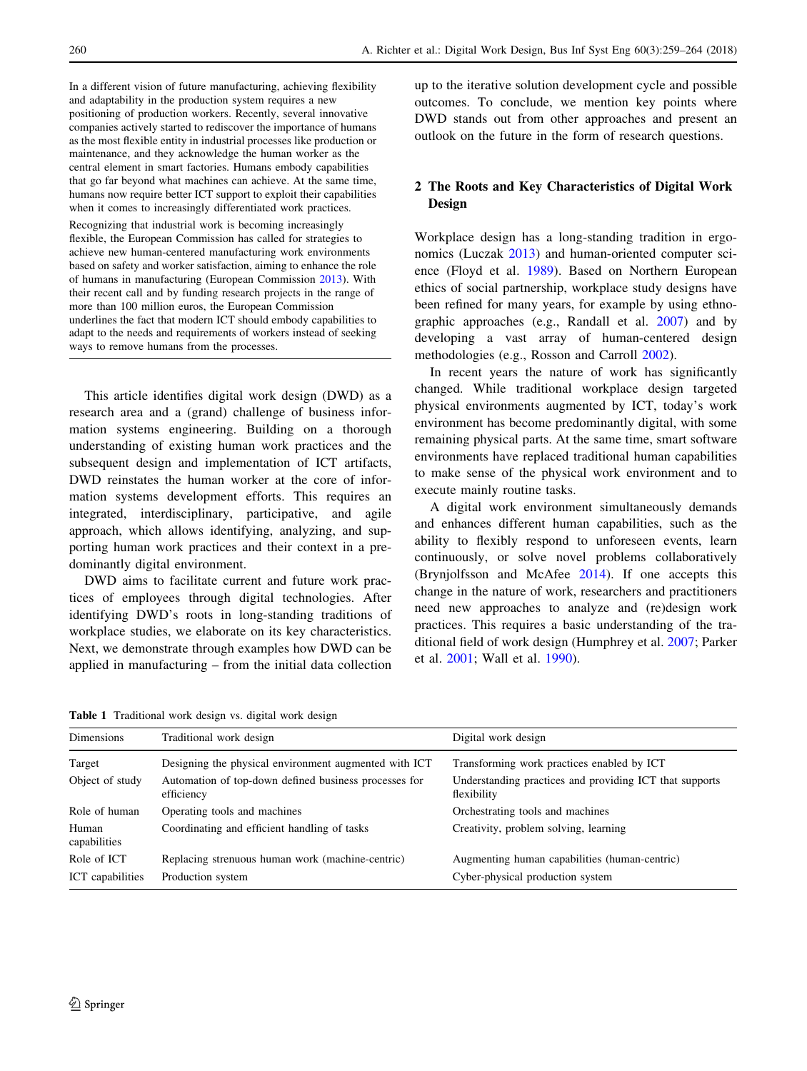<span id="page-1-0"></span>In a different vision of future manufacturing, achieving flexibility and adaptability in the production system requires a new positioning of production workers. Recently, several innovative companies actively started to rediscover the importance of humans as the most flexible entity in industrial processes like production or maintenance, and they acknowledge the human worker as the central element in smart factories. Humans embody capabilities that go far beyond what machines can achieve. At the same time, humans now require better ICT support to exploit their capabilities when it comes to increasingly differentiated work practices.

Recognizing that industrial work is becoming increasingly flexible, the European Commission has called for strategies to achieve new human-centered manufacturing work environments based on safety and worker satisfaction, aiming to enhance the role of humans in manufacturing (European Commission [2013\)](#page-5-0). With their recent call and by funding research projects in the range of more than 100 million euros, the European Commission underlines the fact that modern ICT should embody capabilities to adapt to the needs and requirements of workers instead of seeking ways to remove humans from the processes.

This article identifies digital work design (DWD) as a research area and a (grand) challenge of business information systems engineering. Building on a thorough understanding of existing human work practices and the subsequent design and implementation of ICT artifacts, DWD reinstates the human worker at the core of information systems development efforts. This requires an integrated, interdisciplinary, participative, and agile approach, which allows identifying, analyzing, and supporting human work practices and their context in a predominantly digital environment.

DWD aims to facilitate current and future work practices of employees through digital technologies. After identifying DWD's roots in long-standing traditions of workplace studies, we elaborate on its key characteristics. Next, we demonstrate through examples how DWD can be applied in manufacturing – from the initial data collection up to the iterative solution development cycle and possible outcomes. To conclude, we mention key points where DWD stands out from other approaches and present an outlook on the future in the form of research questions.

# 2 The Roots and Key Characteristics of Digital Work Design

Workplace design has a long-standing tradition in ergonomics (Luczak [2013](#page-5-0)) and human-oriented computer science (Floyd et al. [1989\)](#page-5-0). Based on Northern European ethics of social partnership, workplace study designs have been refined for many years, for example by using ethnographic approaches (e.g., Randall et al. [2007\)](#page-5-0) and by developing a vast array of human-centered design methodologies (e.g., Rosson and Carroll [2002](#page-5-0)).

In recent years the nature of work has significantly changed. While traditional workplace design targeted physical environments augmented by ICT, today's work environment has become predominantly digital, with some remaining physical parts. At the same time, smart software environments have replaced traditional human capabilities to make sense of the physical work environment and to execute mainly routine tasks.

A digital work environment simultaneously demands and enhances different human capabilities, such as the ability to flexibly respond to unforeseen events, learn continuously, or solve novel problems collaboratively (Brynjolfsson and McAfee [2014\)](#page-5-0). If one accepts this change in the nature of work, researchers and practitioners need new approaches to analyze and (re)design work practices. This requires a basic understanding of the traditional field of work design (Humphrey et al. [2007;](#page-5-0) Parker et al. [2001;](#page-5-0) Wall et al. [1990](#page-5-0)).

Table 1 Traditional work design vs. digital work design

| <b>Dimensions</b>     | Traditional work design                                             | Digital work design                                                    |
|-----------------------|---------------------------------------------------------------------|------------------------------------------------------------------------|
| Target                | Designing the physical environment augmented with ICT               | Transforming work practices enabled by ICT                             |
| Object of study       | Automation of top-down defined business processes for<br>efficiency | Understanding practices and providing ICT that supports<br>flexibility |
| Role of human         | Operating tools and machines                                        | Orchestrating tools and machines                                       |
| Human<br>capabilities | Coordinating and efficient handling of tasks                        | Creativity, problem solving, learning                                  |
| Role of ICT           | Replacing strenuous human work (machine-centric)                    | Augmenting human capabilities (human-centric)                          |
| ICT capabilities      | Production system                                                   | Cyber-physical production system                                       |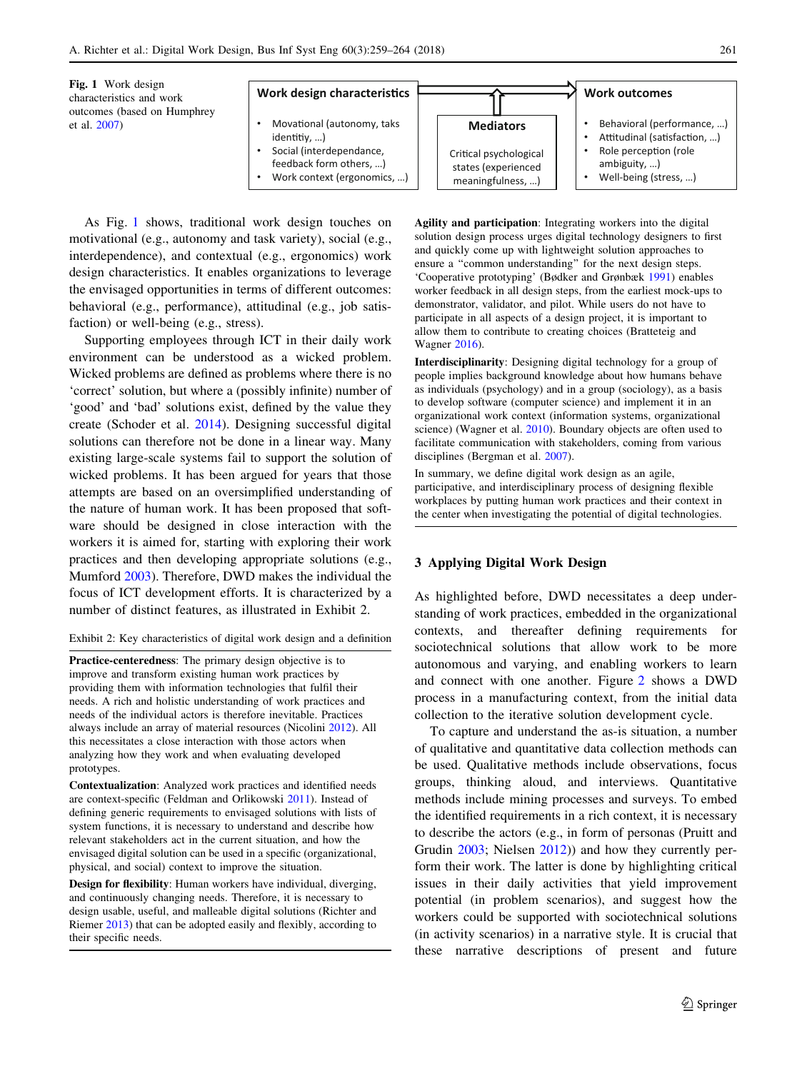Fig. 1 Work design characteristics and work outcomes (based on Humphrey et al. [2007](#page-5-0))



As Fig. 1 shows, traditional work design touches on motivational (e.g., autonomy and task variety), social (e.g., interdependence), and contextual (e.g., ergonomics) work design characteristics. It enables organizations to leverage the envisaged opportunities in terms of different outcomes: behavioral (e.g., performance), attitudinal (e.g., job satisfaction) or well-being (e.g., stress).

Supporting employees through ICT in their daily work environment can be understood as a wicked problem. Wicked problems are defined as problems where there is no 'correct' solution, but where a (possibly infinite) number of 'good' and 'bad' solutions exist, defined by the value they create (Schoder et al. [2014\)](#page-5-0). Designing successful digital solutions can therefore not be done in a linear way. Many existing large-scale systems fail to support the solution of wicked problems. It has been argued for years that those attempts are based on an oversimplified understanding of the nature of human work. It has been proposed that software should be designed in close interaction with the workers it is aimed for, starting with exploring their work practices and then developing appropriate solutions (e.g., Mumford [2003\)](#page-5-0). Therefore, DWD makes the individual the focus of ICT development efforts. It is characterized by a number of distinct features, as illustrated in Exhibit 2.

#### Exhibit 2: Key characteristics of digital work design and a definition

Practice-centeredness: The primary design objective is to improve and transform existing human work practices by providing them with information technologies that fulfil their needs. A rich and holistic understanding of work practices and needs of the individual actors is therefore inevitable. Practices always include an array of material resources (Nicolini [2012\)](#page-5-0). All this necessitates a close interaction with those actors when analyzing how they work and when evaluating developed prototypes.

Contextualization: Analyzed work practices and identified needs are context-specific (Feldman and Orlikowski [2011](#page-5-0)). Instead of defining generic requirements to envisaged solutions with lists of system functions, it is necessary to understand and describe how relevant stakeholders act in the current situation, and how the envisaged digital solution can be used in a specific (organizational, physical, and social) context to improve the situation.

Design for flexibility: Human workers have individual, diverging, and continuously changing needs. Therefore, it is necessary to design usable, useful, and malleable digital solutions (Richter and Riemer [2013](#page-5-0)) that can be adopted easily and flexibly, according to their specific needs.

Agility and participation: Integrating workers into the digital solution design process urges digital technology designers to first and quickly come up with lightweight solution approaches to ensure a ''common understanding'' for the next design steps. 'Cooperative prototyping' (Bødker and Grønbæk [1991\)](#page-5-0) enables worker feedback in all design steps, from the earliest mock-ups to demonstrator, validator, and pilot. While users do not have to participate in all aspects of a design project, it is important to allow them to contribute to creating choices (Bratteteig and Wagner [2016\)](#page-5-0).

Interdisciplinarity: Designing digital technology for a group of people implies background knowledge about how humans behave as individuals (psychology) and in a group (sociology), as a basis to develop software (computer science) and implement it in an organizational work context (information systems, organizational science) (Wagner et al. [2010](#page-5-0)). Boundary objects are often used to facilitate communication with stakeholders, coming from various disciplines (Bergman et al. [2007](#page-5-0)).

In summary, we define digital work design as an agile, participative, and interdisciplinary process of designing flexible workplaces by putting human work practices and their context in the center when investigating the potential of digital technologies.

#### 3 Applying Digital Work Design

As highlighted before, DWD necessitates a deep understanding of work practices, embedded in the organizational contexts, and thereafter defining requirements for sociotechnical solutions that allow work to be more autonomous and varying, and enabling workers to learn and connect with one another. Figure [2](#page-3-0) shows a DWD process in a manufacturing context, from the initial data collection to the iterative solution development cycle.

To capture and understand the as-is situation, a number of qualitative and quantitative data collection methods can be used. Qualitative methods include observations, focus groups, thinking aloud, and interviews. Quantitative methods include mining processes and surveys. To embed the identified requirements in a rich context, it is necessary to describe the actors (e.g., in form of personas (Pruitt and Grudin [2003;](#page-5-0) Nielsen [2012\)](#page-5-0)) and how they currently perform their work. The latter is done by highlighting critical issues in their daily activities that yield improvement potential (in problem scenarios), and suggest how the workers could be supported with sociotechnical solutions (in activity scenarios) in a narrative style. It is crucial that these narrative descriptions of present and future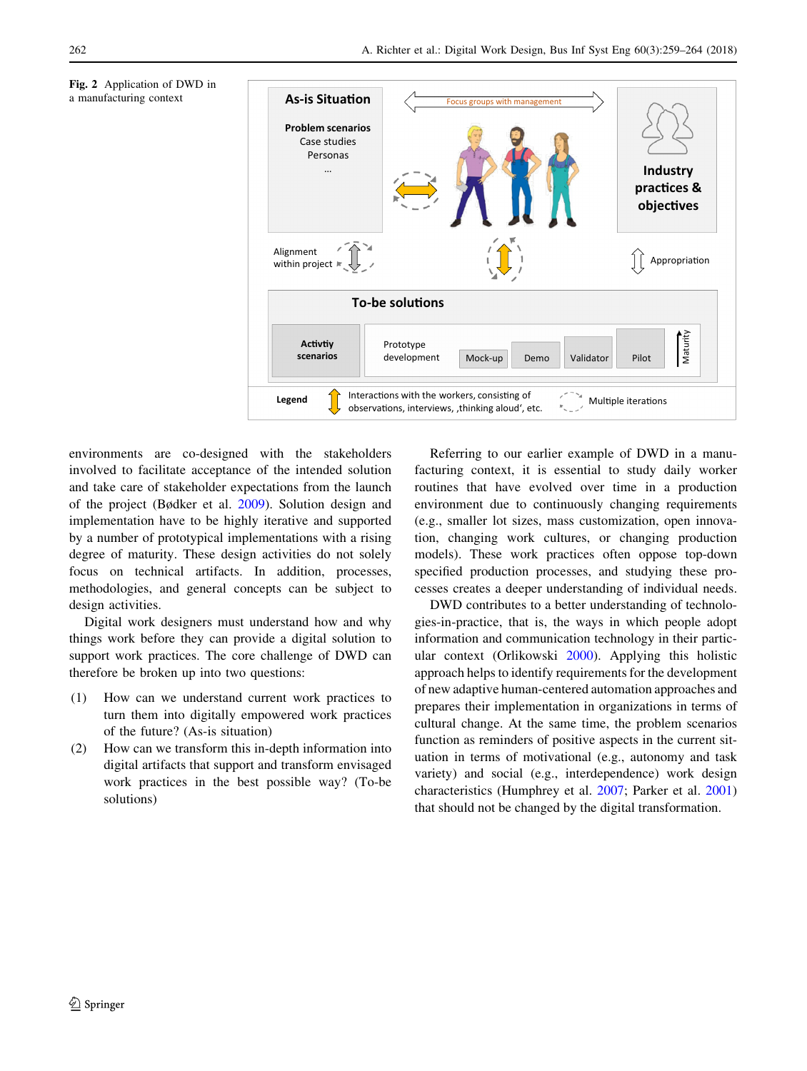<span id="page-3-0"></span>



environments are co-designed with the stakeholders involved to facilitate acceptance of the intended solution and take care of stakeholder expectations from the launch of the project (Bødker et al. [2009\)](#page-5-0). Solution design and implementation have to be highly iterative and supported by a number of prototypical implementations with a rising degree of maturity. These design activities do not solely focus on technical artifacts. In addition, processes, methodologies, and general concepts can be subject to design activities.

Digital work designers must understand how and why things work before they can provide a digital solution to support work practices. The core challenge of DWD can therefore be broken up into two questions:

- (1) How can we understand current work practices to turn them into digitally empowered work practices of the future? (As-is situation)
- (2) How can we transform this in-depth information into digital artifacts that support and transform envisaged work practices in the best possible way? (To-be solutions)

Referring to our earlier example of DWD in a manufacturing context, it is essential to study daily worker routines that have evolved over time in a production environment due to continuously changing requirements (e.g., smaller lot sizes, mass customization, open innovation, changing work cultures, or changing production models). These work practices often oppose top-down specified production processes, and studying these processes creates a deeper understanding of individual needs.

DWD contributes to a better understanding of technologies-in-practice, that is, the ways in which people adopt information and communication technology in their particular context (Orlikowski [2000](#page-5-0)). Applying this holistic approach helps to identify requirements for the development of new adaptive human-centered automation approaches and prepares their implementation in organizations in terms of cultural change. At the same time, the problem scenarios function as reminders of positive aspects in the current situation in terms of motivational (e.g., autonomy and task variety) and social (e.g., interdependence) work design characteristics (Humphrey et al. [2007;](#page-5-0) Parker et al. [2001\)](#page-5-0) that should not be changed by the digital transformation.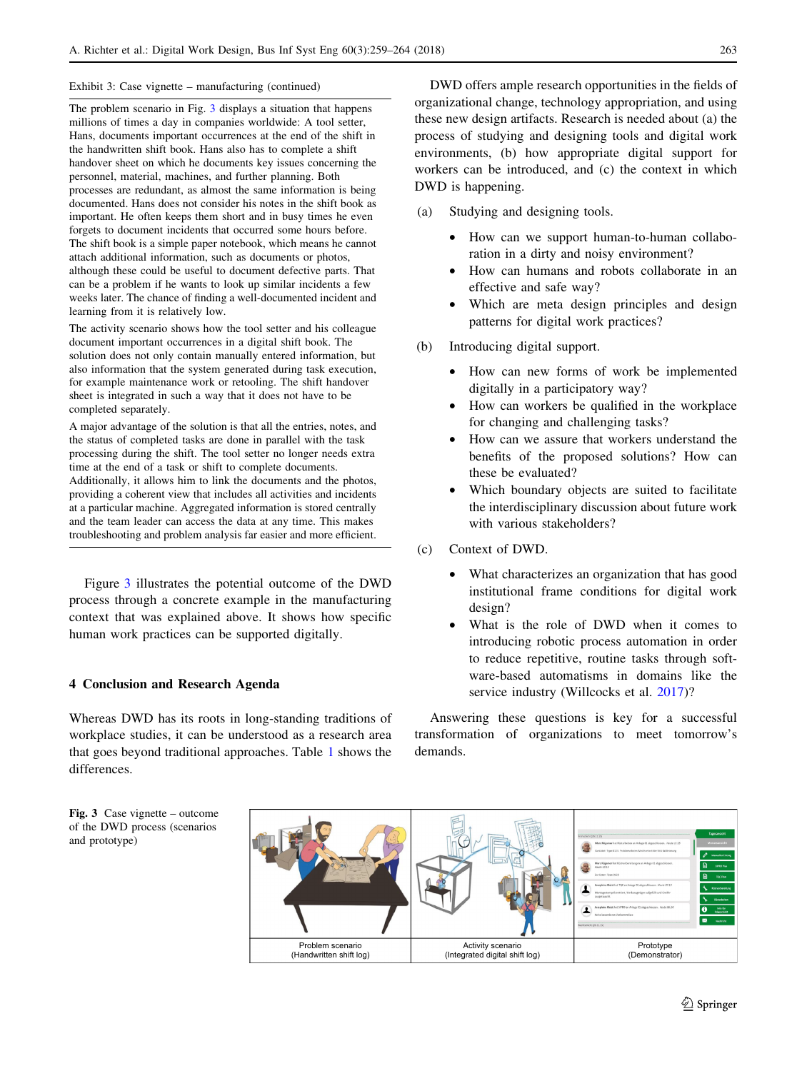#### Exhibit 3: Case vignette – manufacturing (continued)

The problem scenario in Fig. 3 displays a situation that happens millions of times a day in companies worldwide: A tool setter, Hans, documents important occurrences at the end of the shift in the handwritten shift book. Hans also has to complete a shift handover sheet on which he documents key issues concerning the personnel, material, machines, and further planning. Both processes are redundant, as almost the same information is being documented. Hans does not consider his notes in the shift book as important. He often keeps them short and in busy times he even forgets to document incidents that occurred some hours before. The shift book is a simple paper notebook, which means he cannot attach additional information, such as documents or photos, although these could be useful to document defective parts. That can be a problem if he wants to look up similar incidents a few weeks later. The chance of finding a well-documented incident and learning from it is relatively low.

The activity scenario shows how the tool setter and his colleague document important occurrences in a digital shift book. The solution does not only contain manually entered information, but also information that the system generated during task execution, for example maintenance work or retooling. The shift handover sheet is integrated in such a way that it does not have to be completed separately.

A major advantage of the solution is that all the entries, notes, and the status of completed tasks are done in parallel with the task processing during the shift. The tool setter no longer needs extra time at the end of a task or shift to complete documents. Additionally, it allows him to link the documents and the photos, providing a coherent view that includes all activities and incidents at a particular machine. Aggregated information is stored centrally and the team leader can access the data at any time. This makes troubleshooting and problem analysis far easier and more efficient.

Figure 3 illustrates the potential outcome of the DWD process through a concrete example in the manufacturing context that was explained above. It shows how specific human work practices can be supported digitally.

## 4 Conclusion and Research Agenda

Whereas DWD has its roots in long-standing traditions of workplace studies, it can be understood as a research area that goes beyond traditional approaches. Table [1](#page-1-0) shows the differences.

DWD offers ample research opportunities in the fields of organizational change, technology appropriation, and using these new design artifacts. Research is needed about (a) the process of studying and designing tools and digital work environments, (b) how appropriate digital support for workers can be introduced, and (c) the context in which DWD is happening.

- (a) Studying and designing tools.
	- How can we support human-to-human collaboration in a dirty and noisy environment?
	- How can humans and robots collaborate in an effective and safe way?
	- Which are meta design principles and design patterns for digital work practices?
- (b) Introducing digital support.
	- How can new forms of work be implemented digitally in a participatory way?
	- How can workers be qualified in the workplace for changing and challenging tasks?
	- How can we assure that workers understand the benefits of the proposed solutions? How can these be evaluated?
	- Which boundary objects are suited to facilitate the interdisciplinary discussion about future work with various stakeholders?
- (c) Context of DWD.
	- What characterizes an organization that has good institutional frame conditions for digital work design?
	- What is the role of DWD when it comes to introducing robotic process automation in order to reduce repetitive, routine tasks through software-based automatisms in domains like the service industry (Willcocks et al. [2017](#page-5-0))?

Answering these questions is key for a successful transformation of organizations to meet tomorrow's demands.



Fig. 3 Case vignette – outcome of the DWD process (scenarios and prototype)